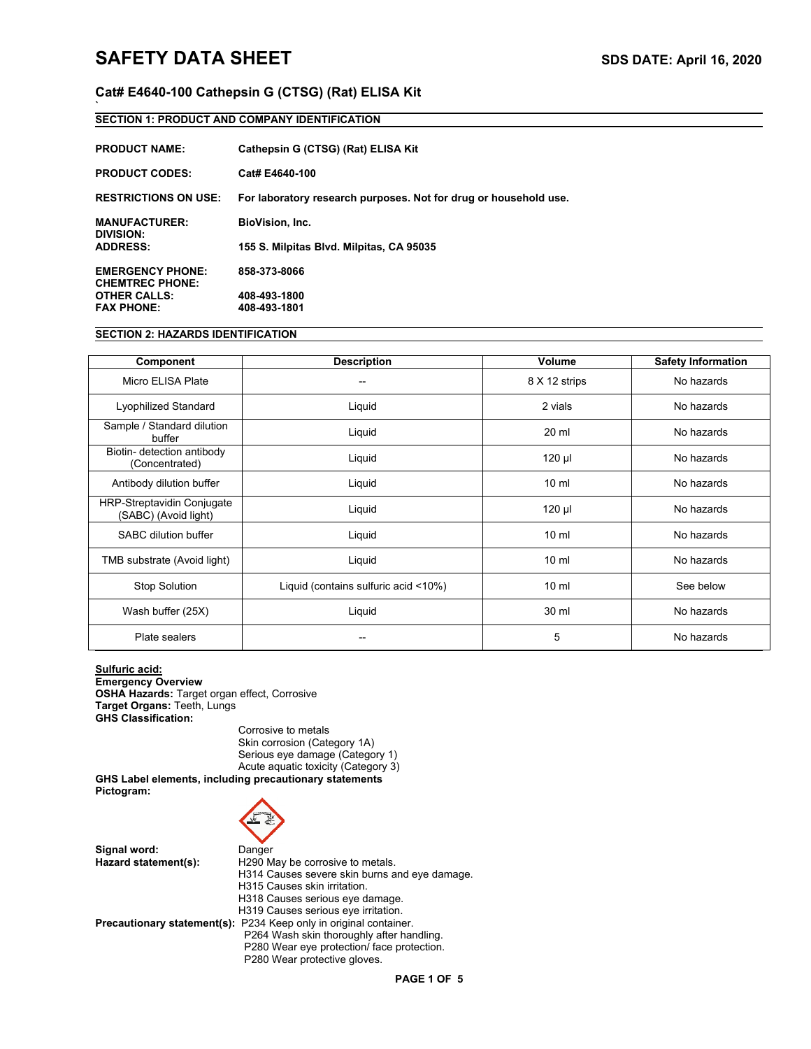**`**

# **Cat# E4640-100 Cathepsin G (CTSG) (Rat) ELISA Kit**

# **SECTION 1: PRODUCT AND COMPANY IDENTIFICATION**

| <b>PRODUCT NAME:</b>                                 | Cathepsin G (CTSG) (Rat) ELISA Kit                               |
|------------------------------------------------------|------------------------------------------------------------------|
| <b>PRODUCT CODES:</b>                                | Cat# E4640-100                                                   |
| <b>RESTRICTIONS ON USE:</b>                          | For laboratory research purposes. Not for drug or household use. |
| <b>MANUFACTURER:</b><br>DIVISION:<br><b>ADDRESS:</b> | <b>BioVision, Inc.</b>                                           |
|                                                      | 155 S. Milpitas Blvd. Milpitas, CA 95035                         |
| <b>EMERGENCY PHONE:</b><br><b>CHEMTREC PHONE:</b>    | 858-373-8066                                                     |
| <b>OTHER CALLS:</b>                                  | 408-493-1800                                                     |
| <b>FAX PHONE:</b>                                    | 408-493-1801                                                     |

# **SECTION 2: HAZARDS IDENTIFICATION**

| Component                                                 | <b>Description</b>                   | Volume          | <b>Safety Information</b> |
|-----------------------------------------------------------|--------------------------------------|-----------------|---------------------------|
| Micro ELISA Plate                                         | --                                   | 8 X 12 strips   | No hazards                |
| Lyophilized Standard                                      | Liquid                               | 2 vials         | No hazards                |
| Sample / Standard dilution<br>buffer                      | Liquid                               | 20 ml           | No hazards                |
| Biotin- detection antibody<br>(Concentrated)              | Liquid                               | 120 µl          | No hazards                |
| Antibody dilution buffer                                  | Liquid                               | $10 \mathrm{m}$ | No hazards                |
| <b>HRP-Streptavidin Conjugate</b><br>(SABC) (Avoid light) | Liquid                               | 120 µl          | No hazards                |
| <b>SABC dilution buffer</b>                               | Liquid                               | $10 \mathrm{m}$ | No hazards                |
| TMB substrate (Avoid light)                               | Liquid                               | $10 \text{ ml}$ | No hazards                |
| <b>Stop Solution</b>                                      | Liquid (contains sulfuric acid <10%) | $10 \mathrm{m}$ | See below                 |
| Wash buffer (25X)                                         | Liquid                               | 30 ml           | No hazards                |
| Plate sealers                                             |                                      | 5               | No hazards                |

**Sulfuric acid: Emergency Overview OSHA Hazards:** Target organ effect, Corrosive **Target Organs:** Teeth, Lungs **GHS Classification:**

Corrosive to metals Skin corrosion (Category 1A) Serious eye damage (Category 1) Acute aquatic toxicity (Category 3)

**GHS Label elements, including precautionary statements Pictogram:**



**Signal word:** Danger<br> **Hazard statement(s):** H290 M H290 May be corrosive to metals. H314 Causes severe skin burns and eye damage. H315 Causes skin irritation. H318 Causes serious eye damage. H319 Causes serious eye irritation. **Precautionary statement(s):** P234 Keep only in original container. P264 Wash skin thoroughly after handling. P280 Wear eye protection/ face protection.

P280 Wear protective gloves.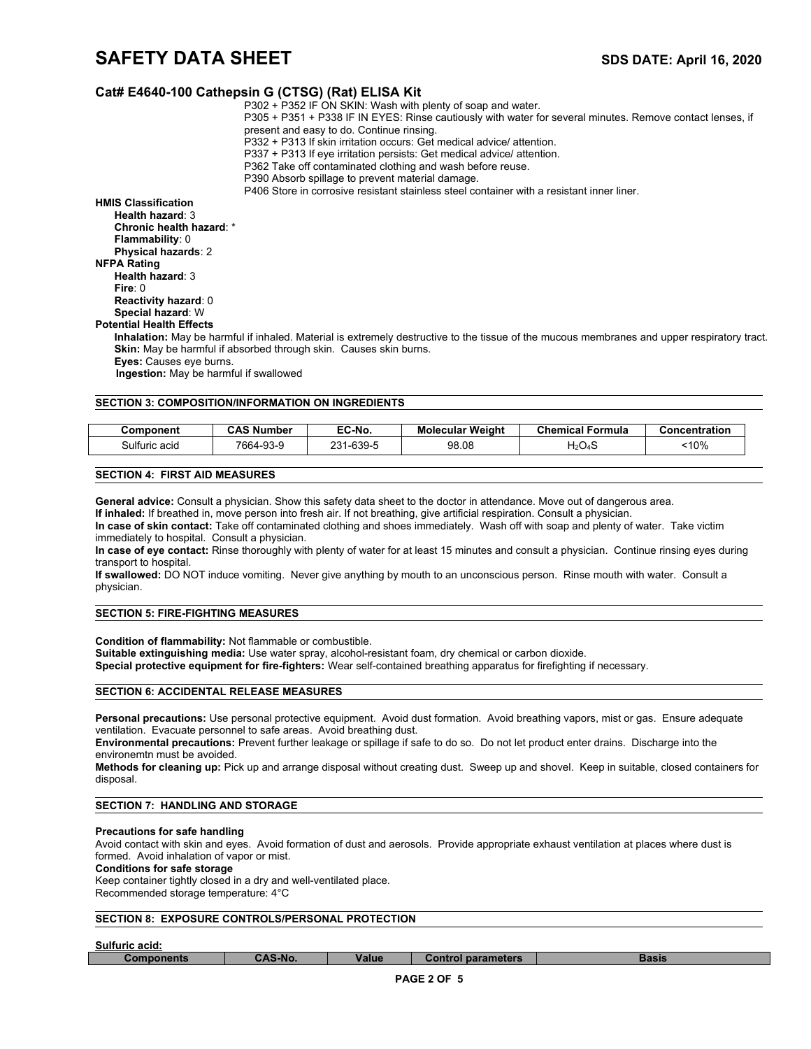# **SAFETY DATA SHEET** SAFETY **SUBSETY SDS DATE:** April 16, 2020

# **Cat# E4640-100 Cathepsin G (CTSG) (Rat) ELISA Kit**

| <b>Component</b>                                                  | <b>CAS Number</b> | EC-No.                                           | <b>Molecular Weight</b>                                                                   | <b>Chemical Formula</b>                                                                                   | Concentration                                                                                                                               |
|-------------------------------------------------------------------|-------------------|--------------------------------------------------|-------------------------------------------------------------------------------------------|-----------------------------------------------------------------------------------------------------------|---------------------------------------------------------------------------------------------------------------------------------------------|
| <b>SECTION 3: COMPOSITION/INFORMATION ON INGREDIENTS</b>          |                   |                                                  |                                                                                           |                                                                                                           |                                                                                                                                             |
|                                                                   |                   |                                                  |                                                                                           |                                                                                                           |                                                                                                                                             |
| Ingestion: May be harmful if swallowed                            |                   |                                                  |                                                                                           |                                                                                                           |                                                                                                                                             |
| <b>Eyes:</b> Causes eye burns.                                    |                   |                                                  |                                                                                           |                                                                                                           |                                                                                                                                             |
| Skin: May be harmful if absorbed through skin. Causes skin burns. |                   |                                                  |                                                                                           |                                                                                                           |                                                                                                                                             |
|                                                                   |                   |                                                  |                                                                                           |                                                                                                           | Inhalation: May be harmful if inhaled. Material is extremely destructive to the tissue of the mucous membranes and upper respiratory tract. |
| <b>Potential Health Effects</b>                                   |                   |                                                  |                                                                                           |                                                                                                           |                                                                                                                                             |
| Special hazard: W                                                 |                   |                                                  |                                                                                           |                                                                                                           |                                                                                                                                             |
| Reactivity hazard: 0                                              |                   |                                                  |                                                                                           |                                                                                                           |                                                                                                                                             |
| Fire: $0$                                                         |                   |                                                  |                                                                                           |                                                                                                           |                                                                                                                                             |
| Health hazard: 3                                                  |                   |                                                  |                                                                                           |                                                                                                           |                                                                                                                                             |
| <b>NFPA Rating</b>                                                |                   |                                                  |                                                                                           |                                                                                                           |                                                                                                                                             |
| Physical hazards: 2                                               |                   |                                                  |                                                                                           |                                                                                                           |                                                                                                                                             |
| <b>Flammability: 0</b>                                            |                   |                                                  |                                                                                           |                                                                                                           |                                                                                                                                             |
| Chronic health hazard: *                                          |                   |                                                  |                                                                                           |                                                                                                           |                                                                                                                                             |
| Health hazard 3                                                   |                   |                                                  |                                                                                           |                                                                                                           |                                                                                                                                             |
| <b>HMIS Classification</b>                                        |                   |                                                  | P406 Store in corrosive resistant stainless steel container with a resistant inner liner. |                                                                                                           |                                                                                                                                             |
|                                                                   |                   | P390 Absorb spillage to prevent material damage. |                                                                                           |                                                                                                           |                                                                                                                                             |
|                                                                   |                   |                                                  | P362 Take off contaminated clothing and wash before reuse.                                |                                                                                                           |                                                                                                                                             |
|                                                                   |                   |                                                  | P337 + P313 If eye irritation persists: Get medical advice/ attention.                    |                                                                                                           |                                                                                                                                             |
|                                                                   |                   |                                                  | P332 + P313 If skin irritation occurs: Get medical advice/attention.                      |                                                                                                           |                                                                                                                                             |
|                                                                   |                   | present and easy to do. Continue rinsing.        |                                                                                           |                                                                                                           |                                                                                                                                             |
|                                                                   |                   |                                                  |                                                                                           | P305 + P351 + P338 IF IN EYES: Rinse cautiously with water for several minutes. Remove contact lenses, if |                                                                                                                                             |
|                                                                   |                   | . <u>.</u>                                       | P302 + P352 IF ON SKIN: Wash with plenty of soap and water.                               |                                                                                                           |                                                                                                                                             |

## **SECTION 4: FIRST AID MEASURES**

**General advice:** Consult a physician. Show this safety data sheet to the doctor in attendance. Move out of dangerous area.

**If inhaled:** If breathed in, move person into fresh air. If not breathing, give artificial respiration. Consult a physician.

**In case of skin contact:** Take off contaminated clothing and shoes immediately. Wash off with soap and plenty of water. Take victim immediately to hospital. Consult a physician.

Sulfuric acid 7664-93-9 231-639-5 98.08 H2O4S <10%

**In case of eye contact:** Rinse thoroughly with plenty of water for at least 15 minutes and consult a physician. Continue rinsing eyes during transport to hospital.

**If swallowed:** DO NOT induce vomiting. Never give anything by mouth to an unconscious person. Rinse mouth with water. Consult a physician.

# **SECTION 5: FIRE-FIGHTING MEASURES**

**Condition of flammability:** Not flammable or combustible.

**Suitable extinguishing media:** Use water spray, alcohol-resistant foam, dry chemical or carbon dioxide.

**Special protective equipment for fire-fighters:** Wear self-contained breathing apparatus for firefighting if necessary.

## **SECTION 6: ACCIDENTAL RELEASE MEASURES**

**Personal precautions:** Use personal protective equipment. Avoid dust formation. Avoid breathing vapors, mist or gas. Ensure adequate ventilation. Evacuate personnel to safe areas. Avoid breathing dust.

**Environmental precautions:** Prevent further leakage or spillage if safe to do so. Do not let product enter drains. Discharge into the environemtn must be avoided.

**Methods for cleaning up:** Pick up and arrange disposal without creating dust. Sweep up and shovel. Keep in suitable, closed containers for disposal.

# **SECTION 7: HANDLING AND STORAGE**

#### **Precautions for safe handling**

Avoid contact with skin and eyes. Avoid formation of dust and aerosols. Provide appropriate exhaust ventilation at places where dust is formed. Avoid inhalation of vapor or mist.

# **Conditions for safe storage**

Keep container tightly closed in a dry and well-ventilated place. Recommended storage temperature: 4°C

# **SECTION 8: EXPOSURE CONTROLS/PERSONAL PROTECTION**

#### **Sulfuric acid:**

**Components CAS-No. Value Control parameters Basis**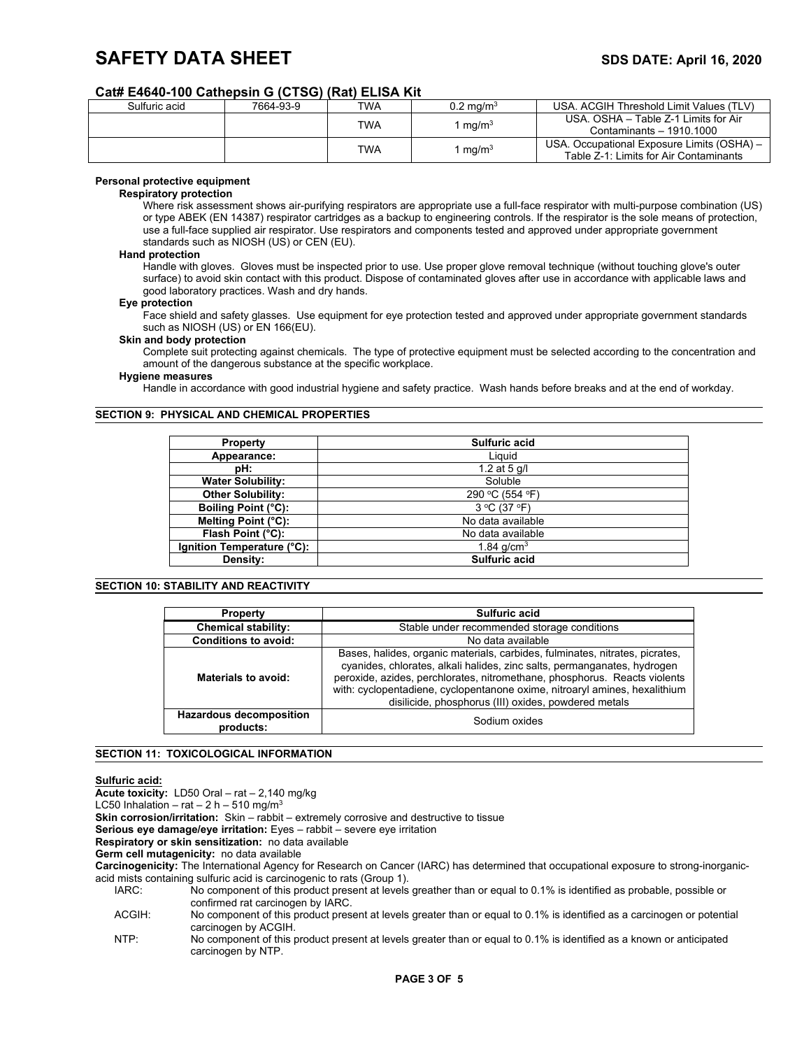# **SAFETY DATA SHEET** SAFETY **SUBSETY SDS DATE:** April 16, 2020

# **Cat# E4640-100 Cathepsin G (CTSG) (Rat) ELISA Kit**

| Sulfuric acid | 7664-93-9          | <b>TWA</b>               | $0.2 \text{ ma/m}^3$ | USA, ACGIH Threshold Limit Values (TLV)    |                                      |
|---------------|--------------------|--------------------------|----------------------|--------------------------------------------|--------------------------------------|
|               | TWA<br>. mg/m $^3$ |                          |                      |                                            | USA, OSHA - Table Z-1 Limits for Air |
|               |                    | Contaminants - 1910 1000 |                      |                                            |                                      |
|               |                    | TWA                      |                      | USA. Occupational Exposure Limits (OSHA) - |                                      |
|               |                    |                          | mq/m <sup>3</sup>    | Table Z-1: Limits for Air Contaminants     |                                      |

# **Personal protective equipment**

#### **Respiratory protection**

Where risk assessment shows air-purifying respirators are appropriate use a full-face respirator with multi-purpose combination (US) or type ABEK (EN 14387) respirator cartridges as a backup to engineering controls. If the respirator is the sole means of protection, use a full-face supplied air respirator. Use respirators and components tested and approved under appropriate government standards such as NIOSH (US) or CEN (EU).

### **Hand protection**

Handle with gloves. Gloves must be inspected prior to use. Use proper glove removal technique (without touching glove's outer surface) to avoid skin contact with this product. Dispose of contaminated gloves after use in accordance with applicable laws and good laboratory practices. Wash and dry hands.

#### **Eye protection**

Face shield and safety glasses. Use equipment for eye protection tested and approved under appropriate government standards such as NIOSH (US) or EN 166(EU).

## **Skin and body protection**

Complete suit protecting against chemicals. The type of protective equipment must be selected according to the concentration and amount of the dangerous substance at the specific workplace.

#### **Hygiene measures**

Handle in accordance with good industrial hygiene and safety practice. Wash hands before breaks and at the end of workday.

# **SECTION 9: PHYSICAL AND CHEMICAL PROPERTIES**

| <b>Property</b>            | Sulfuric acid                   |  |  |  |
|----------------------------|---------------------------------|--|--|--|
| Appearance:                | Liauid                          |  |  |  |
| pH:                        | 1.2 at 5 $q/l$                  |  |  |  |
| <b>Water Solubility:</b>   | Soluble                         |  |  |  |
| <b>Other Solubility:</b>   | 290 °C (554 °F)                 |  |  |  |
| Boiling Point (°C):        | $3^{\circ}$ C (37 $^{\circ}$ F) |  |  |  |
| Melting Point (°C):        | No data available               |  |  |  |
| Flash Point (°C):          | No data available               |  |  |  |
| Ignition Temperature (°C): | 1.84 $q/cm3$                    |  |  |  |
| Density:                   | Sulfuric acid                   |  |  |  |

## **SECTION 10: STABILITY AND REACTIVITY**

| <b>Property</b>                             | Sulfuric acid                                                                                                                                                                                                                                                                                                                                                               |  |  |
|---------------------------------------------|-----------------------------------------------------------------------------------------------------------------------------------------------------------------------------------------------------------------------------------------------------------------------------------------------------------------------------------------------------------------------------|--|--|
| <b>Chemical stability:</b>                  | Stable under recommended storage conditions                                                                                                                                                                                                                                                                                                                                 |  |  |
| <b>Conditions to avoid:</b>                 | No data available                                                                                                                                                                                                                                                                                                                                                           |  |  |
| Materials to avoid:                         | Bases, halides, organic materials, carbides, fulminates, nitrates, picrates,<br>cyanides, chlorates, alkali halides, zinc salts, permanganates, hydrogen<br>peroxide, azides, perchlorates, nitromethane, phosphorus. Reacts violents<br>with: cyclopentadiene, cyclopentanone oxime, nitroaryl amines, hexalithium<br>disilicide, phosphorus (III) oxides, powdered metals |  |  |
| <b>Hazardous decomposition</b><br>products: | Sodium oxides                                                                                                                                                                                                                                                                                                                                                               |  |  |

# **SECTION 11: TOXICOLOGICAL INFORMATION**

# **Sulfuric acid:**

**Acute toxicity:** LD50 Oral – rat – 2,140 mg/kg

LC50 Inhalation – rat – 2 h – 510 mg/m<sup>3</sup>

**Skin corrosion/irritation:** Skin – rabbit – extremely corrosive and destructive to tissue

**Serious eye damage/eye irritation:** Eyes – rabbit – severe eye irritation

**Respiratory or skin sensitization:** no data available

**Germ cell mutagenicity:** no data available

**Carcinogenicity:** The International Agency for Research on Cancer (IARC) has determined that occupational exposure to strong-inorganicacid mists containing sulfuric acid is carcinogenic to rats (Group 1).

NTP: No component of this product present at levels greater than or equal to 0.1% is identified as a known or anticipated carcinogen by NTP.

No component of this product present at levels greather than or equal to 0.1% is identified as probable, possible or confirmed rat carcinogen by IARC.

ACGIH: No component of this product present at levels greater than or equal to 0.1% is identified as a carcinogen or potential carcinogen by ACGIH.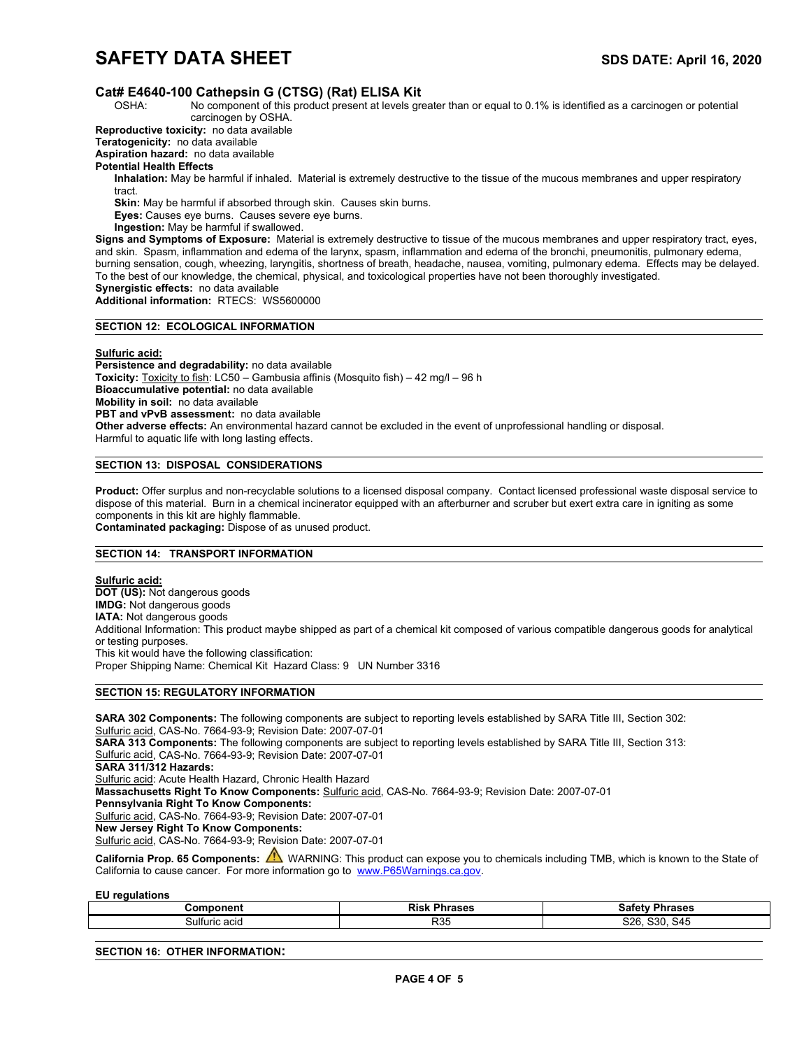# **SAFETY DATA SHEET** SAFETY **SUBSETY SDS DATE:** April 16, 2020

# **Cat# E4640-100 Cathepsin G (CTSG) (Rat) ELISA Kit**

OSHA: No component of this product present at levels greater than or equal to 0.1% is identified as a carcinogen or potential carcinogen by OSHA.

**Reproductive toxicity:** no data available

**Teratogenicity:** no data available

**Aspiration hazard:** no data available

**Potential Health Effects**

**Inhalation:** May be harmful if inhaled. Material is extremely destructive to the tissue of the mucous membranes and upper respiratory tract.

**Skin:** May be harmful if absorbed through skin. Causes skin burns.

**Eyes:** Causes eye burns. Causes severe eye burns.

**Ingestion:** May be harmful if swallowed.

**Signs and Symptoms of Exposure:** Material is extremely destructive to tissue of the mucous membranes and upper respiratory tract, eyes, and skin. Spasm, inflammation and edema of the larynx, spasm, inflammation and edema of the bronchi, pneumonitis, pulmonary edema, burning sensation, cough, wheezing, laryngitis, shortness of breath, headache, nausea, vomiting, pulmonary edema. Effects may be delayed. To the best of our knowledge, the chemical, physical, and toxicological properties have not been thoroughly investigated. **Synergistic effects:** no data available

**Additional information:** RTECS: WS5600000

# **SECTION 12: ECOLOGICAL INFORMATION**

**Sulfuric acid:**

**Persistence and degradability:** no data available **Toxicity:** Toxicity to fish: LC50 – Gambusia affinis (Mosquito fish) – 42 mg/l – 96 h **Bioaccumulative potential:** no data available **Mobility in soil:** no data available **PBT and vPvB assessment:** no data available **Other adverse effects:** An environmental hazard cannot be excluded in the event of unprofessional handling or disposal. Harmful to aquatic life with long lasting effects.

## **SECTION 13: DISPOSAL CONSIDERATIONS**

**Product:** Offer surplus and non-recyclable solutions to a licensed disposal company. Contact licensed professional waste disposal service to dispose of this material. Burn in a chemical incinerator equipped with an afterburner and scruber but exert extra care in igniting as some components in this kit are highly flammable. **Contaminated packaging:** Dispose of as unused product.

# **SECTION 14: TRANSPORT INFORMATION**

**Sulfuric acid: DOT (US):** Not dangerous goods **IMDG:** Not dangerous goods **IATA:** Not dangerous goods Additional Information: This product maybe shipped as part of a chemical kit composed of various compatible dangerous goods for analytical or testing purposes. This kit would have the following classification: Proper Shipping Name: Chemical Kit Hazard Class: 9 UN Number 3316

# **SECTION 15: REGULATORY INFORMATION**

**SARA 302 Components:** The following components are subject to reporting levels established by SARA Title III, Section 302: Sulfuric acid, CAS-No. 7664-93-9; Revision Date: 2007-07-01 **SARA 313 Components:** The following components are subject to reporting levels established by SARA Title III, Section 313: Sulfuric acid, CAS-No. 7664-93-9; Revision Date: 2007-07-01 **SARA 311/312 Hazards:** Sulfuric acid: Acute Health Hazard, Chronic Health Hazard **Massachusetts Right To Know Components:** Sulfuric acid, CAS-No. 7664-93-9; Revision Date: 2007-07-01 **Pennsylvania Right To Know Components:** Sulfuric acid, CAS-No. 7664-93-9; Revision Date: 2007-07-01 **New Jersey Right To Know Components:** Sulfuric acid, CAS-No. 7664-93-9; Revision Date: 2007-07-01

California Prop. 65 Components: **A** WARNING: This product can expose you to chemicals including TMB, which is known to the State of California to cause cancer. For more information go to www.P65Warnings.ca.gov.

**EU regulations**

| --- -- -- --<br>ำm.<br>·poner. | Risk<br>,,,,, | 'hrases<br>.                                  |
|--------------------------------|---------------|-----------------------------------------------|
| Sulfuric acid                  | R35           | $\bigcap_{i=1}^n$<br>coo<br>S26<br>54t<br>551 |

### **SECTION 16: OTHER INFORMATION:**